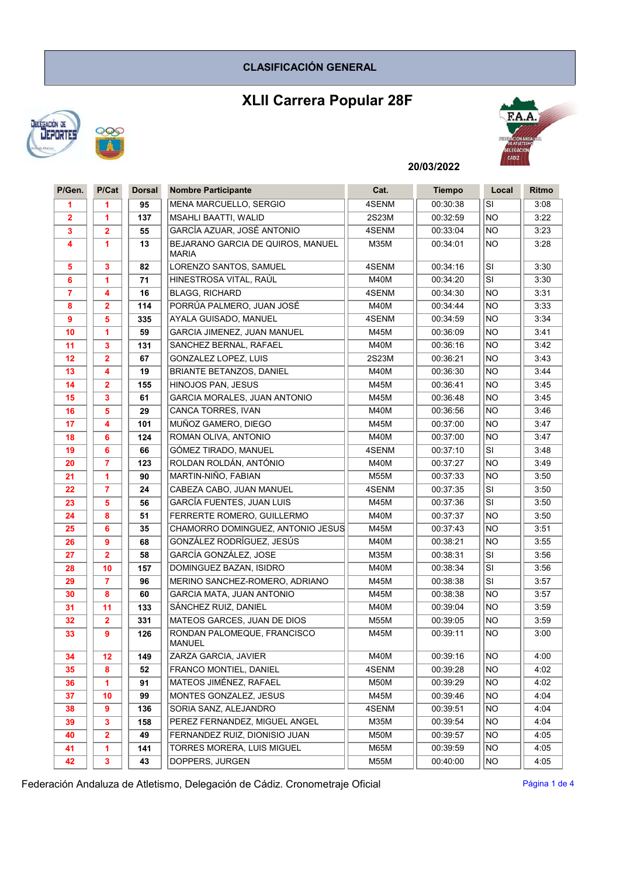## CLASIFICACIÓN GENERAL

# XLII Carrera Popular 28F





## 20/03/2022

| P/Gen.                  | P/Cat                   | <b>Dorsal</b> | <b>Nombre Participante</b>                        | Cat.        | <b>Tiempo</b> | Local                    | <b>Ritmo</b> |
|-------------------------|-------------------------|---------------|---------------------------------------------------|-------------|---------------|--------------------------|--------------|
| 1                       | 1                       | 95            | <b>MENA MARCUELLO, SERGIO</b>                     | 4SENM       | 00:30:38      | SI                       | 3:08         |
| $\overline{2}$          | 1                       | 137           | <b>MSAHLI BAATTI, WALID</b>                       | 2S23M       | 00:32:59      | <b>NO</b>                | 3:22         |
| 3                       | $\overline{2}$          | 55            | GARCÍA AZUAR, JOSÉ ANTONIO                        | 4SENM       | 00:33:04      | <b>NO</b>                | 3:23         |
| 4                       | 1                       | 13            | BEJARANO GARCIA DE QUIROS, MANUEL<br><b>MARIA</b> | <b>M35M</b> | 00:34:01      | <b>NO</b>                | 3:28         |
| $\overline{\mathbf{5}}$ | 3                       | 82            | LORENZO SANTOS, SAMUEL                            | 4SENM       | 00:34:16      | SI                       | 3:30         |
| 6                       | 1                       | 71            | HINESTROSA VITAL, RAÚL                            | M40M        | 00:34:20      | SI                       | 3:30         |
| $\overline{7}$          | 4                       | 16            | <b>BLAGG, RICHARD</b>                             | 4SENM       | 00:34:30      | <b>NO</b>                | 3:31         |
| 8                       | 2                       | 114           | PORRÚA PALMERO, JUAN JOSÉ                         | M40M        | 00:34:44      | <b>NO</b>                | 3:33         |
| $\boldsymbol{9}$        | 5                       | 335           | AYALA GUISADO, MANUEL                             | 4SENM       | 00:34:59      | <b>NO</b>                | 3:34         |
| 10                      | 1                       | 59            | GARCIA JIMENEZ, JUAN MANUEL                       | M45M        | 00:36:09      | <b>NO</b>                | 3:41         |
| 11                      | 3                       | 131           | SANCHEZ BERNAL, RAFAEL                            | M40M        | 00:36:16      | <b>NO</b>                | 3:42         |
| 12                      | $\overline{\mathbf{2}}$ | 67            | GONZALEZ LOPEZ, LUIS                              | 2S23M       | 00:36:21      | <b>NO</b>                | 3:43         |
| 13                      | 4                       | 19            | BRIANTE BETANZOS, DANIEL                          | M40M        | 00:36:30      | <b>NO</b>                | 3:44         |
| 14                      | $\overline{2}$          | 155           | HINOJOS PAN, JESUS                                | M45M        | 00:36:41      | <b>NO</b>                | 3:45         |
| 15                      | 3                       | 61            | <b>GARCIA MORALES, JUAN ANTONIO</b>               | M45M        | 00:36:48      | <b>NO</b>                | 3:45         |
| 16                      | 5                       | 29            | CANCA TORRES, IVAN                                | M40M        | 00:36:56      | <b>NO</b>                | 3:46         |
| 17                      | 4                       | 101           | MUÑOZ GAMERO, DIEGO                               | M45M        | 00:37:00      | <b>NO</b>                | 3:47         |
| 18                      | 6                       | 124           | ROMAN OLIVA, ANTONIO                              | M40M        | 00:37:00      | <b>NO</b>                | 3:47         |
| 19                      | 6                       | 66            | GÓMEZ TIRADO, MANUEL                              | 4SENM       | 00:37:10      | $\overline{\mathsf{SI}}$ | 3:48         |
| 20                      | $\overline{7}$          | 123           | ROLDAN ROLDÁN, ANTÓNIO                            | M40M        | 00:37:27      | <b>NO</b>                | 3:49         |
| 21                      | 1                       | 90            | MARTIN-NIÑO, FABIAN                               | <b>M55M</b> | 00:37:33      | <b>NO</b>                | 3:50         |
| 22                      | $\overline{7}$          | 24            | CABEZA CABO, JUAN MANUEL                          | 4SENM       | 00:37:35      | SI                       | 3:50         |
| 23                      | 5                       | 56            | <b>GARCÍA FUENTES, JUAN LUIS</b>                  | M45M        | 00:37:36      | SI                       | 3:50         |
| 24                      | 8                       | 51            | FERRERTE ROMERO, GUILLERMO                        | M40M        | 00:37:37      | <b>NO</b>                | 3:50         |
| 25                      | 6                       | 35            | CHAMORRO DOMINGUEZ, ANTONIO JESUS                 | M45M        | 00:37:43      | <b>NO</b>                | 3:51         |
| 26                      | 9                       | 68            | GONZÁLEZ RODRÍGUEZ, JESÚS                         | M40M        | 00:38:21      | NO.                      | 3:55         |
| 27                      | $\overline{2}$          | 58            | GARCÍA GONZÁLEZ, JOSE                             | M35M        | 00:38:31      | SI                       | 3:56         |
| 28                      | 10                      | 157           | DOMINGUEZ BAZAN, ISIDRO                           | M40M        | 00:38:34      | SI                       | 3:56         |
| 29                      | 7                       | 96            | MERINO SANCHEZ-ROMERO, ADRIANO                    | M45M        | 00:38:38      | SI                       | 3:57         |
| 30                      | 8                       | 60            | GARCIA MATA, JUAN ANTONIO                         | M45M        | 00:38:38      | <b>NO</b>                | 3:57         |
| 31                      | 11                      | 133           | SÁNCHEZ RUIZ, DANIEL                              | M40M        | 00:39:04      | <b>NO</b>                | 3:59         |
| 32                      | $\overline{\mathbf{2}}$ | 331           | MATEOS GARCES, JUAN DE DIOS                       | <b>M55M</b> | 00:39:05      | <b>NO</b>                | 3:59         |
| 33                      | 9                       | 126           | RONDAN PALOMEQUE, FRANCISCO<br><b>MANUEL</b>      | M45M        | 00:39:11      | NO.                      | 3:00         |
| 34                      | 12                      | 149           | ZARZA GARCIA, JAVIER                              | M40M        | 00:39:16      | <b>NO</b>                | 4:00         |
| 35                      | 8                       | 52            | FRANCO MONTIEL, DANIEL                            | 4SENM       | 00:39:28      | NO.                      | 4:02         |
| 36                      | 1                       | 91            | MATEOS JIMÉNEZ, RAFAEL                            | M50M        | 00:39:29      | NO.                      | 4:02         |
| 37                      | 10                      | 99            | MONTES GONZALEZ. JESUS                            | M45M        | 00:39:46      | <b>NO</b>                | 4:04         |
| 38                      | 9                       | 136           | SORIA SANZ, ALEJANDRO                             | 4SENM       | 00:39:51      | <b>NO</b>                | 4:04         |
| 39                      | 3                       | 158           | PEREZ FERNANDEZ, MIGUEL ANGEL                     | M35M        | 00:39:54      | <b>NO</b>                | 4:04         |
| 40                      | $\overline{2}$          | 49            | FERNANDEZ RUIZ. DIONISIO JUAN                     | M50M        | 00:39:57      | NO.                      | 4:05         |
| 41                      | 1                       | 141           | <b>TORRES MORERA. LUIS MIGUEL</b>                 | M65M        | 00:39:59      | <b>NO</b>                | 4:05         |
| 42                      | $\mathbf{3}$            | 43            | DOPPERS, JURGEN                                   | <b>M55M</b> | 00:40:00      | <b>NO</b>                | 4:05         |

Federación Andaluza de Atletismo, Delegación de Cádiz. Cronometraje Oficial Pagina 1 de 4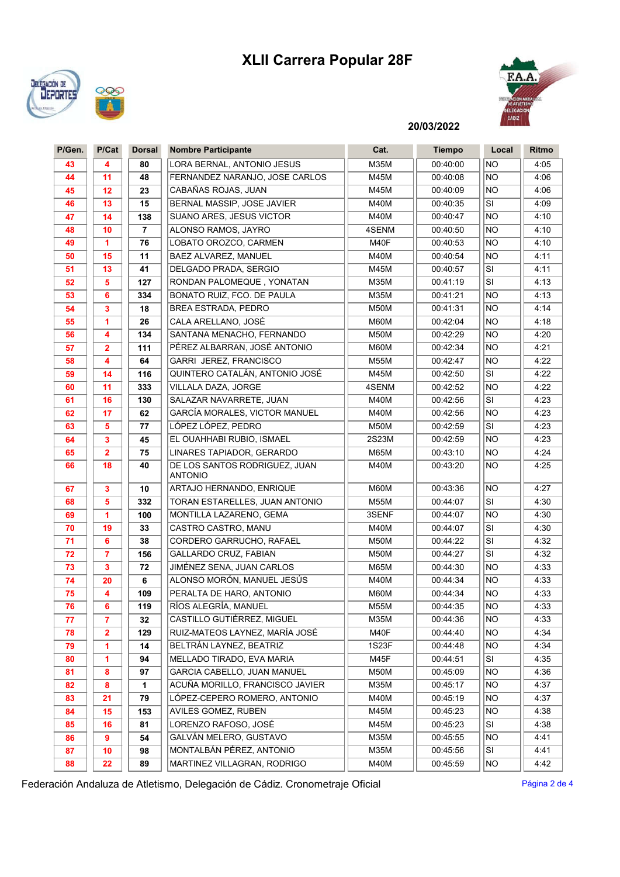# XLII Carrera Popular 28F





20/03/2022

| P/Gen. | P/Cat                   | <b>Dorsal</b>  | <b>Nombre Participante</b>               | Cat.        | <b>Tiempo</b> | Local     | Ritmo |
|--------|-------------------------|----------------|------------------------------------------|-------------|---------------|-----------|-------|
| 43     | 4                       | 80             | LORA BERNAL, ANTONIO JESUS               | M35M        | 00:40:00      | <b>NO</b> | 4:05  |
| 44     | 11                      | 48             | FERNANDEZ NARANJO. JOSE CARLOS           | M45M        | 00:40:08      | <b>NO</b> | 4:06  |
| 45     | 12                      | 23             | CABAÑAS ROJAS, JUAN                      | M45M        | 00:40:09      | <b>NO</b> | 4:06  |
| 46     | 13                      | 15             | BERNAL MASSIP, JOSE JAVIER               | <b>M40M</b> | 00:40:35      | SI        | 4:09  |
| 47     | 14                      | 138            | SUANO ARES, JESUS VICTOR                 | M40M        | 00:40:47      | <b>NO</b> | 4:10  |
| 48     | 10                      | $\overline{7}$ | ALONSO RAMOS, JAYRO                      | 4SENM       | 00:40:50      | NO.       | 4:10  |
| 49     | 1                       | 76             | LOBATO OROZCO, CARMEN                    | M40F        | 00:40:53      | NO.       | 4:10  |
| 50     | 15                      | 11             | BAEZ ALVAREZ, MANUEL                     | <b>M40M</b> | 00:40:54      | <b>NO</b> | 4:11  |
| 51     | 13                      | 41             | DELGADO PRADA, SERGIO                    | M45M        | 00:40:57      | <b>SI</b> | 4:11  |
| 52     | 5                       | 127            | RONDAN PALOMEQUE, YONATAN                | <b>M35M</b> | 00:41:19      | SI        | 4:13  |
| 53     | 6                       | 334            | BONATO RUIZ, FCO. DE PAULA               | M35M        | 00:41:21      | <b>NO</b> | 4:13  |
| 54     | 3                       | 18             | BREA ESTRADA, PEDRO                      | <b>M50M</b> | 00:41:31      | <b>NO</b> | 4:14  |
| 55     | 1                       | 26             | CALA ARELLANO, JOSÉ                      | M60M        | 00:42:04      | <b>NO</b> | 4:18  |
| 56     | 4                       | 134            | SANTANA MENACHO, FERNANDO                | <b>M50M</b> | 00:42:29      | <b>NO</b> | 4:20  |
| 57     | 2                       | 111            | PÉREZ ALBARRAN, JOSÉ ANTONIO             | M60M        | 00:42:34      | <b>NO</b> | 4:21  |
| 58     | 4                       | 64             | GARRI JEREZ, FRANCISCO                   | M55M        | 00:42:47      | <b>NO</b> | 4:22  |
| 59     | 14                      | 116            | QUINTERO CATALÁN, ANTONIO JOSÉ           | M45M        | 00:42:50      | <b>SI</b> | 4:22  |
| 60     | 11                      | 333            | VILLALA DAZA, JORGE                      | 4SENM       | 00:42:52      | <b>NO</b> | 4:22  |
| 61     | 16                      | 130            | SALAZAR NAVARRETE, JUAN                  | <b>M40M</b> | 00:42:56      | SI        | 4:23  |
| 62     | 17                      | 62             | GARCÍA MORALES, VICTOR MANUEL            | M40M        | 00:42:56      | <b>NO</b> | 4:23  |
| 63     | 5                       | 77             | LÓPEZ LÓPEZ, PEDRO                       | <b>M50M</b> | 00:42:59      | <b>SI</b> | 4:23  |
| 64     | 3                       | 45             | EL OUAHHABI RUBIO. ISMAEL                | 2S23M       | 00:42:59      | <b>NO</b> | 4:23  |
| 65     | $\overline{\mathbf{2}}$ | 75             | LINARES TAPIADOR, GERARDO                | <b>M65M</b> | 00:43:10      | <b>NO</b> | 4:24  |
| 66     | 18                      | 40             | DE LOS SANTOS RODRIGUEZ, JUAN<br>ANTONIO | <b>M40M</b> | 00:43:20      | <b>NO</b> | 4:25  |
| 67     | 3                       | 10             | ARTAJO HERNANDO, ENRIQUE                 | M60M        | 00:43:36      | <b>NO</b> | 4:27  |
| 68     | 5                       | 332            | TORAN ESTARELLES, JUAN ANTONIO           | <b>M55M</b> | 00:44:07      | <b>SI</b> | 4:30  |
| 69     | 1                       | 100            | MONTILLA LAZARENO, GEMA                  | 3SENF       | 00:44:07      | <b>NO</b> | 4:30  |
| 70     | 19                      | 33             | CASTRO CASTRO, MANU                      | M40M        | 00:44:07      | SI        | 4:30  |
| 71     | 6                       | 38             | CORDERO GARRUCHO, RAFAEL                 | M50M        | 00:44:22      | SI        | 4:32  |
| 72     | 7                       | 156            | GALLARDO CRUZ, FABIAN                    | <b>M50M</b> | 00:44:27      | SI        | 4:32  |
| 73     | 3                       | 72             | JIMÉNEZ SENA, JUAN CARLOS                | M65M        | 00:44:30      | NO.       | 4:33  |
| 74     | 20                      | 6              | ALONSO MORÓN, MANUEL JESÚS               | <b>M40M</b> | 00:44:34      | NO.       | 4:33  |
| 75     | 4                       | 109            | PERALTA DE HARO, ANTONIO                 | M60M        | 00:44:34      | <b>NO</b> | 4:33  |
| 76     | 6                       | 119            | RÍOS ALEGRÍA, MANUEL                     | M55M        | 00:44:35      | NO        | 4:33  |
| 77     | $\overline{7}$          | 32             | CASTILLO GUTIÉRREZ, MIGUEL               | M35M        | 00:44:36      | <b>NO</b> | 4:33  |
| 78     | 2                       | 129            | RUIZ-MATEOS LAYNEZ, MARÍA JOSÉ           | M40F        | 00:44:40      | NO.       | 4:34  |
| 79     | 1                       | 14             | BELTRÁN LAYNEZ, BEATRIZ                  | 1S23F       | 00:44:48      | <b>NO</b> | 4:34  |
| 80     | 1                       | 94             | MELLADO TIRADO, EVA MARIA                | M45F        | 00:44:51      | SI        | 4:35  |
| 81     | 8                       | 97             | GARCIA CABELLO, JUAN MANUEL              | M50M        | 00:45:09      | <b>NO</b> | 4:36  |
| 82     | 8                       | $\mathbf{1}$   | ACUÑA MORILLO, FRANCISCO JAVIER          | M35M        | 00:45:17      | <b>NO</b> | 4:37  |
| 83     | 21                      | 79             | LÓPEZ-CEPERO ROMERO, ANTONIO             | M40M        | 00:45:19      | NO.       | 4:37  |
| 84     | 15                      | 153            | AVILES GOMEZ, RUBEN                      | M45M        | 00:45:23      | NO.       | 4:38  |
| 85     | 16                      | 81             | LORENZO RAFOSO, JOSÉ                     | M45M        | 00:45:23      | SI        | 4:38  |
| 86     | 9                       | 54             | <b>GALVÁN MELERO, GUSTAVO</b>            | M35M        | 00:45:55      | NO.       | 4:41  |
| 87     | 10                      | 98             | MONTALBÁN PÉREZ, ANTONIO                 | M35M        | 00:45:56      | SI        | 4:41  |
| 88     | 22                      | 89             | MARTINEZ VILLAGRAN, RODRIGO              | M40M        | 00:45:59      | <b>NO</b> | 4:42  |

Federación Andaluza de Atletismo, Delegación de Cádiz. Cronometraje Oficial Pagina 2 de 4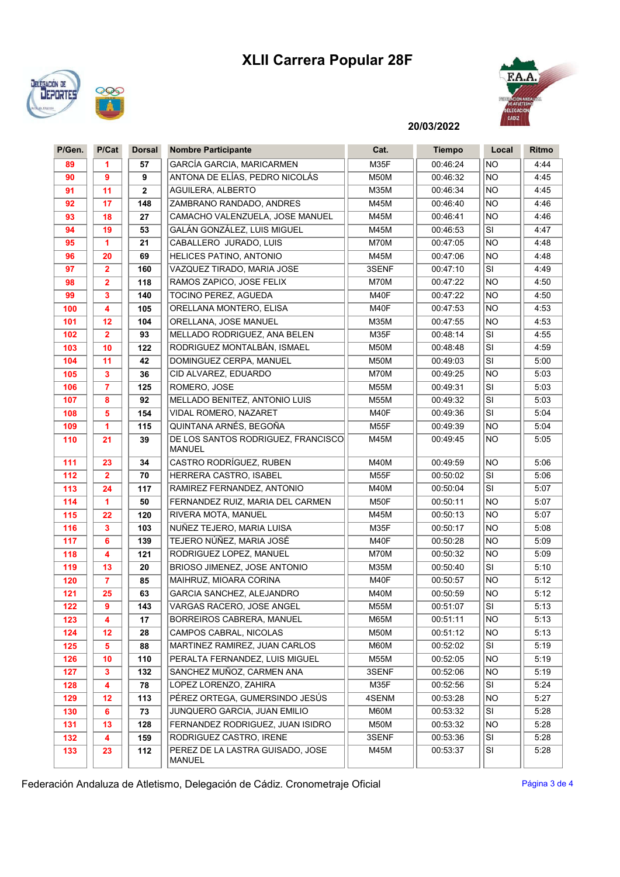# XLII Carrera Popular 28F





### 20/03/2022

| P/Gen.     | P/Cat                   | <b>Dorsal</b> | <b>Nombre Participante</b>                                  | Cat.          | <b>Tiempo</b>        | Local           | Ritmo        |
|------------|-------------------------|---------------|-------------------------------------------------------------|---------------|----------------------|-----------------|--------------|
| 89         | 1                       | 57            | <b>GARCÍA GARCIA, MARICARMEN</b>                            | M35F          | 00:46:24             | <b>NO</b>       | 4:44         |
| 90         | 9                       | 9             | ANTONA DE ELÍAS, PEDRO NICOLÁS                              | M50M          | 00:46:32             | <b>NO</b>       | 4:45         |
| 91         | 11                      | $\mathbf{2}$  | AGUILERA, ALBERTO                                           | M35M          | 00:46:34             | <b>NO</b>       | 4:45         |
| 92         | 17                      | 148           | ZAMBRANO RANDADO, ANDRES                                    | M45M          | 00:46:40             | <b>NO</b>       | 4:46         |
| 93         | 18                      | 27            | CAMACHO VALENZUELA, JOSE MANUEL                             | M45M          | 00:46:41             | <b>NO</b>       | 4:46         |
| 94         | 19                      | 53            | GALÁN GONZÁLEZ, LUIS MIGUEL                                 | M45M          | 00:46:53             | SI              | 4:47         |
| 95         | 1                       | 21            | CABALLERO JURADO, LUIS                                      | M70M          | 00:47:05             | <b>NO</b>       | 4:48         |
| 96         | 20                      | 69            | HELICES PATINO, ANTONIO                                     | M45M          | 00:47:06             | <b>NO</b>       | 4:48         |
| 97         | $\overline{2}$          | 160           | VAZQUEZ TIRADO, MARIA JOSE                                  | 3SENF         | 00:47:10             | SI              | 4:49         |
| 98         | $\overline{\mathbf{2}}$ | 118           | RAMOS ZAPICO, JOSE FELIX                                    | M70M          | 00:47:22             | <b>NO</b>       | 4:50         |
| 99         | 3                       | 140           | TOCINO PEREZ, AGUEDA                                        | M40F          | 00:47:22             | <b>NO</b>       | 4:50         |
| 100        | 4                       | 105           | ORELLANA MONTERO, ELISA                                     | M40F          | 00:47:53             | <b>NO</b>       | 4:53         |
| 101        | 12                      | 104           | ORELLANA, JOSE MANUEL                                       | M35M          | 00:47:55             | <b>NO</b>       | 4:53         |
| 102        | $\overline{2}$          | 93            | MELLADO RODRIGUEZ, ANA BELEN                                | M35F          | 00:48:14             | SI              | 4:55         |
| 103        | 10                      | 122           | RODRIGUEZ MONTALBÁN, ISMAEL                                 | M50M          | 00:48:48             | SI              | 4:59         |
| 104        | 11                      | 42            | DOMINGUEZ CERPA, MANUEL                                     | M50M          | 00:49:03             | SI              | 5:00         |
| 105        | 3                       | 36            | CID ALVAREZ. EDUARDO                                        | M70M          | 00:49:25             | <b>NO</b>       | 5:03         |
| 106        | $\overline{7}$          | 125           | ROMERO, JOSE                                                | M55M          | 00:49:31             | SI              | 5:03         |
| 107        | 8                       | 92            | MELLADO BENITEZ, ANTONIO LUIS                               | <b>M55M</b>   | 00:49:32             | SI              | 5:03         |
| 108        | 5                       | 154           | VIDAL ROMERO, NAZARET                                       | M40F          | 00:49:36             | SI              | 5:04         |
| 109        | 1                       | 115           | QUINTANA ARNÉS, BEGOÑA                                      | M55F          | 00:49:39             | <b>NO</b>       | 5:04         |
| 110        | 21                      | 39            | DE LOS SANTOS RODRIGUEZ, FRANCISCO<br><b>MANUEL</b>         | M45M          | 00:49:45             | <b>NO</b>       | 5:05         |
| 111        | 23                      | 34            | CASTRO RODRÍGUEZ, RUBEN                                     | <b>M40M</b>   | 00:49:59             | <b>NO</b>       | 5:06         |
| 112        | $\overline{2}$          | 70            | HERRERA CASTRO, ISABEL                                      | M55F          | 00:50:02             | SI              | 5:06         |
| 113        | 24                      | 117           | RAMIREZ FERNANDEZ, ANTONIO                                  | <b>M40M</b>   | 00:50:04             | SI              | 5:07         |
| 114        | 1                       | 50            | FERNANDEZ RUIZ, MARIA DEL CARMEN                            | M50F          | 00:50:11             | NO              | 5:07         |
| 115        | 22                      | 120           | RIVERA MOTA, MANUEL                                         | M45M          | 00:50:13             | <b>NO</b>       | 5:07         |
| 116        | 3                       | 103           | NUÑEZ TEJERO, MARIA LUISA                                   | M35F          | 00:50:17             | <b>NO</b>       | 5:08         |
| 117        | 6                       | 139           | TEJERO NÚÑEZ, MARIA JOSÉ                                    | M40F          | 00:50:28             | <b>NO</b>       | 5:09         |
| 118        | 4                       | 121           | RODRIGUEZ LOPEZ, MANUEL                                     | M70M          | 00:50:32             | <b>NO</b>       | 5:09         |
| 119        | 13                      | 20            | BRIOSO JIMENEZ, JOSE ANTONIO                                | M35M          | 00:50:40             | SI              | 5:10         |
| 120        | $\overline{7}$          | 85            | MAIHRUZ, MIOARA CORINA                                      | M40F          | 00:50:57             | <b>NO</b>       | 5:12         |
| 121        | 25                      | 63            | GARCIA SANCHEZ, ALEJANDRO                                   | <b>M40M</b>   | 00:50:59             | <b>NO</b>       | 5:12         |
| 122        | 9                       | 143           | VARGAS RACERO, JOSE ANGEL                                   | <b>M55M</b>   | 00:51:07             | SI              | 5:13         |
| 123        | 4                       | 17            | BORREIROS CABRERA, MANUEL                                   | <b>M65M</b>   | 00:51:11             | <b>NO</b>       | 5:13         |
| 124        | 12                      | 28            | CAMPOS CABRAL, NICOLAS                                      | M50M          | 00:51:12             | <b>NO</b>       | 5:13         |
| 125        | 5                       | 88            | MARTINEZ RAMIREZ. JUAN CARLOS                               | M60M          | 00:52:02             | SI              | 5:19         |
| 126        | 10<br>3                 | 110<br>132    | PERALTA FERNANDEZ, LUIS MIGUEL<br>SANCHEZ MUÑOZ, CARMEN ANA | <b>M55M</b>   | 00:52:05             | NO<br><b>NO</b> | 5:19<br>5:19 |
| 127        |                         |               | LOPEZ LORENZO, ZAHIRA                                       | 3SENF         | 00:52:06             | <b>SI</b>       |              |
| 128<br>129 | 4<br>12                 | 78<br>113     | PÉREZ ORTEGA, GUMERSINDO JESÚS                              | M35F<br>4SENM | 00:52:56<br>00:53:28 | <b>NO</b>       | 5:24<br>5:27 |
| 130        | 6                       | 73            | JUNQUERO GARCIA, JUAN EMILIO                                | M60M          | 00:53:32             | SI              | 5:28         |
| 131        | 13                      | 128           | FERNANDEZ RODRIGUEZ, JUAN ISIDRO                            | <b>M50M</b>   | 00:53:32             | NO)             | 5:28         |
| 132        | 4                       | 159           | RODRIGUEZ CASTRO, IRENE                                     | 3SENF         | 00:53:36             | SI              | 5:28         |
| 133        | 23                      | 112           | PEREZ DE LA LASTRA GUISADO, JOSE                            | M45M          | 00:53:37             | SI              | 5:28         |
|            |                         |               | <b>MANUEL</b>                                               |               |                      |                 |              |

Federación Andaluza de Atletismo, Delegación de Cádiz. Cronometraje Oficial Pagina 3 de 4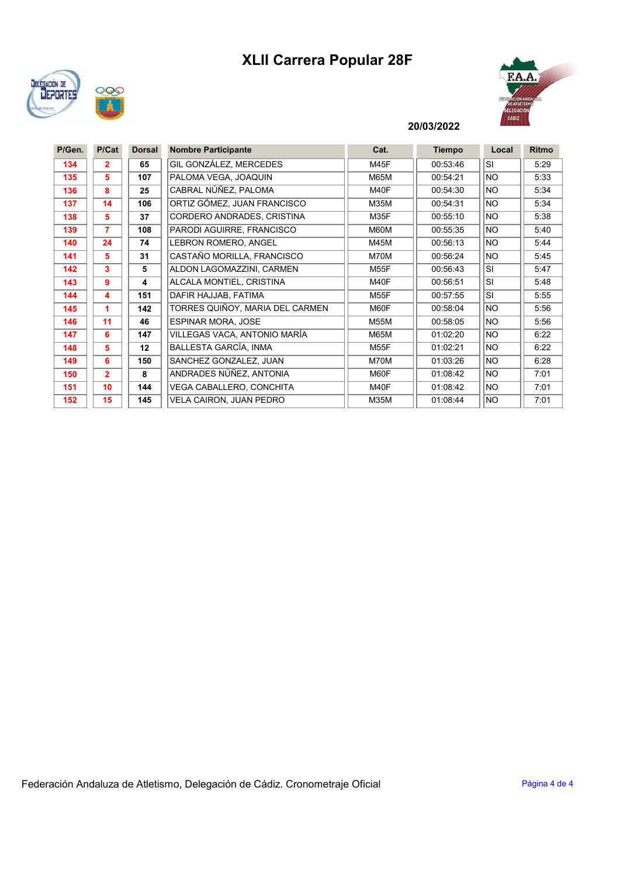# XLII Carrera Popular 28F





#### 20/03/2022

| P/Gen. | P/Cat          | <b>Dorsal</b> | <b>Nombre Participante</b>      | Cat.        | <b>Tiempo</b> | Local     | <b>Ritmo</b> |
|--------|----------------|---------------|---------------------------------|-------------|---------------|-----------|--------------|
| 134    | 2              | 65            | GIL GONZÁLEZ, MERCEDES          | M45F        | 00:53:46      | <b>SI</b> | 5:29         |
| 135    | 5              | 107           | PALOMA VEGA, JOAQUIN            | <b>M65M</b> | 00:54:21      | <b>NO</b> | 5:33         |
| 136    | 8              | 25            | CABRAL NÚÑEZ. PALOMA            | M40F        | 00:54:30      | <b>NO</b> | 5:34         |
| 137    | 14             | 106           | ORTIZ GÓMEZ, JUAN FRANCISCO     | M35M        | 00:54:31      | <b>NO</b> | 5:34         |
| 138    | 5              | 37            | CORDERO ANDRADES, CRISTINA      | M35F        | 00:55:10      | <b>NO</b> | 5:38         |
| 139    | 7              | 108           | PARODI AGUIRRE, FRANCISCO       | M60M        | 00:55:35      | <b>NO</b> | 5:40         |
| 140    | 24             | 74            | LEBRON ROMERO, ANGEL            | M45M        | 00:56:13      | <b>NO</b> | 5:44         |
| 141    | 5              | 31            | CASTAÑO MORILLA, FRANCISCO      | M70M        | 00:56:24      | <b>NO</b> | 5:45         |
| 142    | 3              | 5             | ALDON LAGOMAZZINI, CARMEN       | <b>M55F</b> | 00:56:43      | <b>SI</b> | 5:47         |
| 143    | 9              | 4             | ALCALA MONTIEL, CRISTINA        | M40F        | 00:56:51      | <b>SI</b> | 5:48         |
| 144    | 4              | 151           | DAFIR HAJJAB, FATIMA            | <b>M55F</b> | 00:57:55      | <b>SI</b> | 5:55         |
| 145    |                | 142           | TORRES QUIÑOY, MARIA DEL CARMEN | M60F        | 00:58:04      | <b>NO</b> | 5:56         |
| 146    | 11             | 46            | <b>ESPINAR MORA, JOSE</b>       | <b>M55M</b> | 00:58:05      | <b>NO</b> | 5:56         |
| 147    | 6              | 147           | VILLEGAS VACA, ANTONIO MARÍA    | <b>M65M</b> | 01:02:20      | <b>NO</b> | 6:22         |
| 148    | 5              | 12            | BALLESTA GARCÍA, INMA           | <b>M55F</b> | 01:02:21      | <b>NO</b> | 6:22         |
| 149    | 6              | 150           | SANCHEZ GONZALEZ, JUAN          | M70M        | 01:03:26      | <b>NO</b> | 6:28         |
| 150    | $\overline{2}$ | 8             | ANDRADES NÚÑEZ, ANTONIA         | M60F        | 01:08:42      | <b>NO</b> | 7:01         |
| 151    | 10             | 144           | VEGA CABALLERO, CONCHITA        | M40F        | 01:08:42      | <b>NO</b> | 7:01         |
| 152    | 15             | 145           | VELA CAIRON, JUAN PEDRO         | M35M        | 01:08:44      | <b>NO</b> | 7:01         |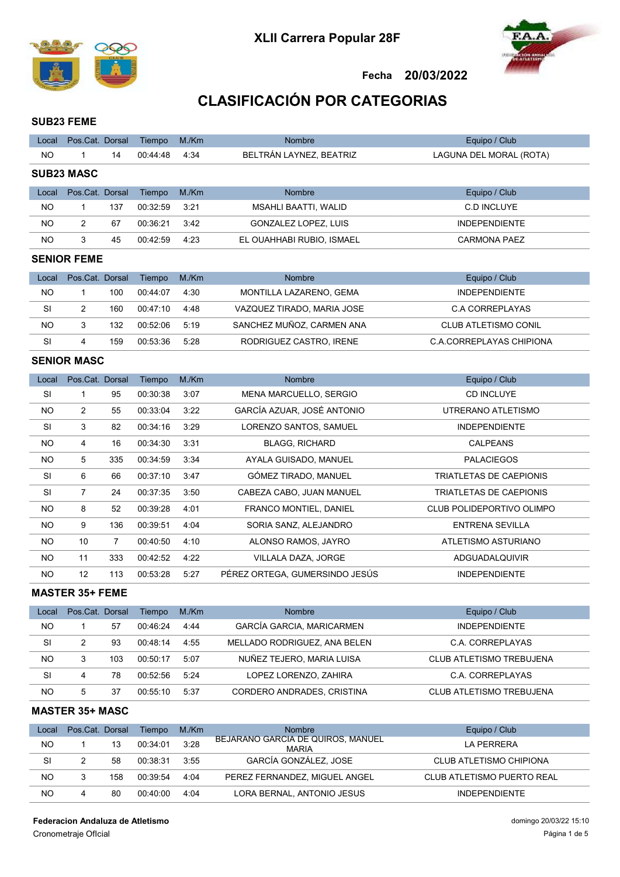



## CLASIFICACIÓN POR CATEGORIAS

#### SUB23 FEME

| Local     | Pos.Cat. Dorsal   |     | Tiempo   | M./Km | <b>Nombre</b>               | Equipo / Club           |
|-----------|-------------------|-----|----------|-------|-----------------------------|-------------------------|
| NO        |                   | 14  | 00:44:48 | 4:34  | BELTRÁN LAYNEZ, BEATRIZ     | LAGUNA DEL MORAL (ROTA) |
|           | <b>SUB23 MASC</b> |     |          |       |                             |                         |
| Local     | Pos.Cat. Dorsal   |     | Tiempo   | M/Km  | <b>Nombre</b>               | Equipo / Club           |
| NO        |                   | 137 | 00:32:59 | 3:21  | <b>MSAHLI BAATTI, WALID</b> | C.D INCLUYE             |
| <b>NO</b> | 2                 | 67  | 00:36:21 | 3:42  | GONZALEZ LOPEZ. LUIS        | <b>INDEPENDIENTE</b>    |
| <b>NO</b> | 3                 | 45  | 00:42:59 | 4:23  | EL OUAHHABI RUBIO, ISMAEL   | <b>CARMONA PAEZ</b>     |
|           | CENIOD EEME       |     |          |       |                             |                         |

#### SENIOR FEME

| Local | Pos.Cat. Dorsal |     | Tiempo   | M./Km | <b>Nombre</b>              | Equipo / Club            |
|-------|-----------------|-----|----------|-------|----------------------------|--------------------------|
| NO.   |                 | 100 | 00.44.07 | 4:30  | MONTILLA LAZARENO, GEMA    | <b>INDEPENDIENTE</b>     |
| SI    |                 | 160 | 00:47:10 | 4:48  | VAZQUEZ TIRADO, MARIA JOSE | C.A CORREPLAYAS          |
| NO    | 3               | 132 | 00:52:06 | 5.19  | SANCHEZ MUÑOZ, CARMEN ANA  | CLUB ATLETISMO CONIL     |
| SI    | 4               | 159 | 00.53.36 | 5:28  | RODRIGUEZ CASTRO, IRENE    | C.A.CORREPLAYAS CHIPIONA |

## SENIOR MASC

| Local     | Pos.Cat. Dorsal |                | Tiempo   | M/Km | <b>Nombre</b>                  | Equipo / Club             |
|-----------|-----------------|----------------|----------|------|--------------------------------|---------------------------|
| <b>SI</b> | 1               | 95             | 00:30:38 | 3:07 | MENA MARCUELLO, SERGIO         | <b>CD INCLUYE</b>         |
| <b>NO</b> | $\overline{c}$  | 55             | 00:33:04 | 3:22 | GARCÍA AZUAR, JOSÉ ANTONIO     | UTRERANO ATLETISMO        |
| SI        | 3               | 82             | 00:34:16 | 3:29 | LORENZO SANTOS, SAMUEL         | <b>INDEPENDIENTE</b>      |
| <b>NO</b> | 4               | 16             | 00:34:30 | 3:31 | <b>BLAGG, RICHARD</b>          | <b>CALPEANS</b>           |
| <b>NO</b> | 5               | 335            | 00:34:59 | 3:34 | AYALA GUISADO, MANUEL          | <b>PALACIEGOS</b>         |
| SI        | 6               | 66             | 00:37:10 | 3:47 | GÓMEZ TIRADO, MANUEL           | TRIATLETAS DE CAEPIONIS   |
| SI        | 7               | 24             | 00:37:35 | 3:50 | CABEZA CABO, JUAN MANUEL       | TRIATLETAS DE CAEPIONIS   |
| <b>NO</b> | 8               | 52             | 00:39:28 | 4:01 | <b>FRANCO MONTIEL, DANIEL</b>  | CLUB POLIDEPORTIVO OLIMPO |
| <b>NO</b> | 9               | 136            | 00:39:51 | 4:04 | SORIA SANZ, ALEJANDRO          | ENTRENA SEVILLA           |
| <b>NO</b> | 10              | $\overline{7}$ | 00:40:50 | 4:10 | ALONSO RAMOS, JAYRO            | ATLETISMO ASTURIANO       |
| <b>NO</b> | 11              | 333            | 00:42:52 | 4:22 | VILLALA DAZA, JORGE            | ADGUADALQUIVIR            |
| <b>NO</b> | 12              | 113            | 00:53:28 | 5:27 | PÉREZ ORTEGA. GUMERSINDO JESÚS | <b>INDEPENDIENTE</b>      |

### MASTER 35+ FEME

| Local | Pos.Cat. Dorsal |     | Tiempo   | M./Km | <b>Nombre</b>                    | Equipo / Club                   |
|-------|-----------------|-----|----------|-------|----------------------------------|---------------------------------|
| NO.   |                 | 57  | 00:46:24 | 4:44  | <b>GARCÍA GARCIA, MARICARMEN</b> | <b>INDEPENDIENTE</b>            |
| SI    | 2               | 93  | 00.48.14 | 4:55  | MELLADO RODRIGUEZ, ANA BELEN     | C.A. CORREPLAYAS                |
| NO.   | 3               | 103 | 00:50:17 | 5:07  | NUÑEZ TEJERO, MARIA LUISA        | <b>CLUB ATLETISMO TREBUJENA</b> |
| SI    | 4               | 78  | 00:52:56 | 5.24  | LOPEZ LORENZO, ZAHIRA            | C.A. CORREPLAYAS                |
| NO.   | 5               | 37  | 00:55:10 | 5:37  | CORDERO ANDRADES, CRISTINA       | <b>CLUB ATLETISMO TREBUJENA</b> |

#### MASTER 35+ MASC

| Local | Pos.Cat. Dorsal |     | Tiempo   | M./Km | <b>Nombre</b>                                     | Equipo / Club              |
|-------|-----------------|-----|----------|-------|---------------------------------------------------|----------------------------|
| NO    |                 | 13  | 00:34:01 | 3:28  | BEJARANO GARCIA DE QUIROS, MANUEL<br><b>MARIA</b> | LA PERRERA                 |
| SI    |                 | 58  | 00:38:31 | 3:55  | GARCÍA GONZÁLEZ. JOSE                             | CLUB ATLETISMO CHIPIONA    |
| NO    |                 | 158 | 00:39:54 | 4:04  | PEREZ FERNANDEZ, MIGUEL ANGEL                     | CLUB ATLETISMO PUERTO REAL |
| NO    | 4               | 80  | 00:40:00 | 4:04  | LORA BERNAL, ANTONIO JESUS                        | <b>INDEPENDIENTE</b>       |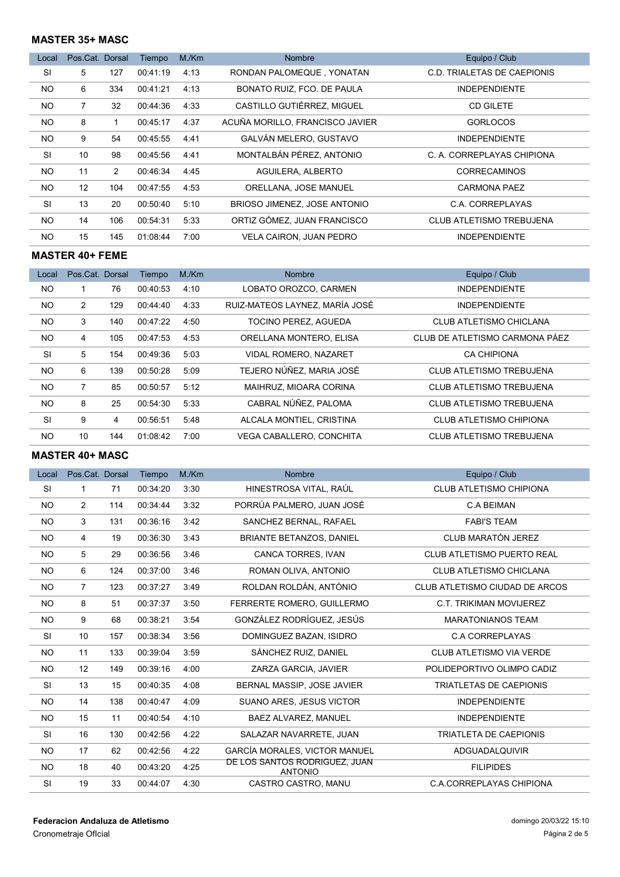### MASTER 35+ MASC

| Local          | Pos.Cat. Dorsal |                | Tiempo   | M/Km | <b>Nombre</b>                   | Equipo / Club                   |
|----------------|-----------------|----------------|----------|------|---------------------------------|---------------------------------|
| <b>SI</b>      | 5               | 127            | 00:41:19 | 4:13 | RONDAN PALOMEQUE, YONATAN       | C.D. TRIALETAS DE CAEPIONIS     |
| <b>NO</b>      | 6               | 334            | 00:41:21 | 4:13 | BONATO RUIZ, FCO, DE PAULA      | <b>INDEPENDIENTE</b>            |
| N <sub>O</sub> | 7               | 32             | 00:44:36 | 4:33 | CASTILLO GUTIÉRREZ, MIGUEL      | <b>CD GILETE</b>                |
| NO.            | 8               | 1              | 00:45:17 | 4:37 | ACUÑA MORILLO, FRANCISCO JAVIER | <b>GORLOCOS</b>                 |
| N <sub>O</sub> | 9               | 54             | 00:45:55 | 4:41 | GALVÁN MELERO, GUSTAVO          | <b>INDEPENDIENTE</b>            |
| <b>SI</b>      | 10              | 98             | 00:45:56 | 4:41 | MONTALBÁN PÉREZ, ANTONIO        | C. A. CORREPLAYAS CHIPIONA      |
| NO.            | 11              | $\overline{2}$ | 00:46:34 | 4:45 | AGUILERA, ALBERTO               | <b>CORRECAMINOS</b>             |
| N <sub>O</sub> | 12              | 104            | 00:47:55 | 4:53 | ORELLANA, JOSE MANUEL           | <b>CARMONA PAEZ</b>             |
| <b>SI</b>      | 13              | 20             | 00:50:40 | 5:10 | BRIOSO JIMENEZ, JOSE ANTONIO    | C.A. CORREPLAYAS                |
| NO.            | 14              | 106            | 00:54:31 | 5:33 | ORTIZ GÓMEZ, JUAN FRANCISCO     | <b>CLUB ATLETISMO TREBUJENA</b> |
| <b>NO</b>      | 15              | 145            | 01:08:44 | 7:00 | <b>VELA CAIRON, JUAN PEDRO</b>  | <b>INDEPENDIENTE</b>            |

#### MASTER 40+ FEME

| Local          | Pos.Cat. Dorsal |     | Tiempo   | M/Km | <b>Nombre</b>                  | Equipo / Club                   |
|----------------|-----------------|-----|----------|------|--------------------------------|---------------------------------|
| N <sub>O</sub> |                 | 76  | 00:40:53 | 4:10 | LOBATO OROZCO, CARMEN          | <b>INDEPENDIENTE</b>            |
| N <sub>O</sub> | 2               | 129 | 00:44:40 | 4:33 | RUIZ-MATEOS LAYNEZ, MARÍA JOSÉ | <b>INDEPENDIENTE</b>            |
| N <sub>O</sub> | 3               | 140 | 00:47:22 | 4:50 | <b>TOCINO PEREZ. AGUEDA</b>    | CLUB ATLETISMO CHICLANA         |
| N <sub>O</sub> | 4               | 105 | 00:47:53 | 4:53 | ORELLANA MONTERO, ELISA        | CLUB DE ATLETISMO CARMONA PÁEZ  |
| <b>SI</b>      | 5               | 154 | 00:49:36 | 5:03 | VIDAL ROMERO, NAZARET          | <b>CA CHIPIONA</b>              |
| N <sub>O</sub> | 6               | 139 | 00:50:28 | 5:09 | TEJERO NÚÑEZ, MARIA JOSÉ       | <b>CLUB ATLETISMO TREBUJENA</b> |
| N <sub>O</sub> | $\overline{7}$  | 85  | 00:50:57 | 5:12 | MAIHRUZ, MIOARA CORINA         | <b>CLUB ATLETISMO TREBUJENA</b> |
| N <sub>O</sub> | 8               | 25  | 00:54:30 | 5:33 | CABRAL NÚÑEZ. PALOMA           | <b>CLUB ATLETISMO TREBUJENA</b> |
| <b>SI</b>      | 9               | 4   | 00:56:51 | 5:48 | ALCALA MONTIEL, CRISTINA       | <b>CLUB ATLETISMO CHIPIONA</b>  |
| NO.            | 10              | 144 | 01:08:42 | 7:00 | VEGA CABALLERO, CONCHITA       | <b>CLUB ATLETISMO TREBUJENA</b> |

## MASTER 40+ MASC

| Local          | Pos.Cat. Dorsal |     | Tiempo   | M/Km | Nombre                                          | Equipo / Club                     |
|----------------|-----------------|-----|----------|------|-------------------------------------------------|-----------------------------------|
| SI             | 1               | 71  | 00:34:20 | 3:30 | HINESTROSA VITAL, RAÚL                          | <b>CLUB ATLETISMO CHIPIONA</b>    |
| <b>NO</b>      | 2               | 114 | 00:34:44 | 3:32 | PORRÚA PALMERO, JUAN JOSÉ                       | <b>C.A BEIMAN</b>                 |
| <b>NO</b>      | 3               | 131 | 00:36:16 | 3:42 | SANCHEZ BERNAL, RAFAEL                          | <b>FABI'S TEAM</b>                |
| N <sub>O</sub> | 4               | 19  | 00:36:30 | 3:43 | BRIANTE BETANZOS, DANIEL                        | CLUB MARATÓN JEREZ                |
| NO.            | 5               | 29  | 00:36:56 | 3:46 | CANCA TORRES, IVAN                              | <b>CLUB ATLETISMO PUERTO REAL</b> |
| <b>NO</b>      | 6               | 124 | 00:37:00 | 3:46 | ROMAN OLIVA, ANTONIO                            | <b>CLUB ATLETISMO CHICLANA</b>    |
| N <sub>O</sub> | $\overline{7}$  | 123 | 00:37:27 | 3:49 | ROLDAN ROLDÁN, ANTÓNIO                          | CLUB ATLETISMO CIUDAD DE ARCOS    |
| N <sub>O</sub> | 8               | 51  | 00:37:37 | 3:50 | FERRERTE ROMERO, GUILLERMO                      | <b>C.T. TRIKIMAN MOVIJEREZ</b>    |
| NO.            | 9               | 68  | 00:38:21 | 3:54 | GONZÁLEZ RODRÍGUEZ, JESÚS                       | <b>MARATONIANOS TEAM</b>          |
| <b>SI</b>      | 10              | 157 | 00:38:34 | 3:56 | DOMINGUEZ BAZAN, ISIDRO                         | <b>C.A CORREPLAYAS</b>            |
| NO.            | 11              | 133 | 00:39:04 | 3:59 | SÁNCHEZ RUIZ, DANIEL                            | <b>CLUB ATLETISMO VIA VERDE</b>   |
| N <sub>O</sub> | 12              | 149 | 00:39:16 | 4:00 | ZARZA GARCIA, JAVIER                            | POLIDEPORTIVO OLIMPO CADIZ        |
| <b>SI</b>      | 13              | 15  | 00:40:35 | 4:08 | BERNAL MASSIP, JOSE JAVIER                      | <b>TRIATLETAS DE CAEPIONIS</b>    |
| NO             | 14              | 138 | 00:40:47 | 4:09 | <b>SUANO ARES, JESUS VICTOR</b>                 | <b>INDEPENDIENTE</b>              |
| NO             | 15              | 11  | 00:40:54 | 4:10 | BAEZ ALVAREZ, MANUEL                            | <b>INDEPENDIENTE</b>              |
| <b>SI</b>      | 16              | 130 | 00:42:56 | 4:22 | SALAZAR NAVARRETE, JUAN                         | <b>TRIATLETA DE CAEPIONIS</b>     |
| <b>NO</b>      | 17              | 62  | 00:42:56 | 4:22 | <b>GARCÍA MORALES, VICTOR MANUEL</b>            | ADGUADALQUIVIR                    |
| <b>NO</b>      | 18              | 40  | 00:43:20 | 4:25 | DE LOS SANTOS RODRIGUEZ, JUAN<br><b>ANTONIO</b> | <b>FILIPIDES</b>                  |
| SI             | 19              | 33  | 00:44:07 | 4:30 | CASTRO CASTRO, MANU                             | C.A.CORREPLAYAS CHIPIONA          |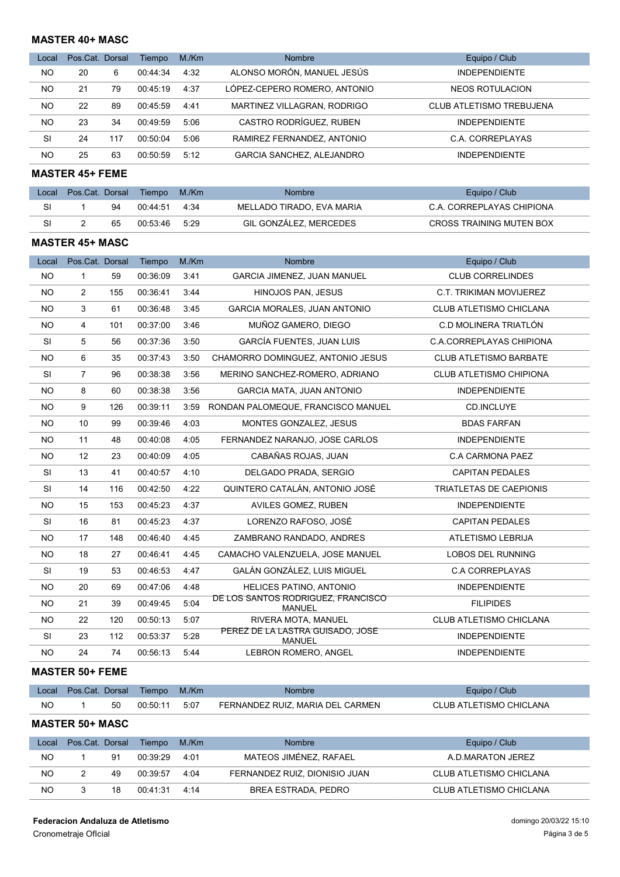### MASTER 40+ MASC

| Local | Pos.Cat. Dorsal |     | Tiempo   | M/Km | <b>Nombre</b>                    | Equipo / Club            |
|-------|-----------------|-----|----------|------|----------------------------------|--------------------------|
| NO    | 20              | 6   | 00:44:34 | 4:32 | ALONSO MORÓN, MANUEL JESÚS       | <b>INDEPENDIENTE</b>     |
| NO    | 21              | 79  | 00:45:19 | 4:37 | LÓPEZ-CEPERO ROMERO, ANTONIO     | NEOS ROTULACION          |
| NO    | 22              | 89  | 00:45:59 | 4:41 | MARTINEZ VILLAGRAN, RODRIGO      | CLUB ATLETISMO TREBUJENA |
| NO    | 23              | 34  | 00:49:59 | 5:06 | CASTRO RODRÍGUEZ. RUBEN          | <b>INDEPENDIENTE</b>     |
| SI    | 24              | 117 | 00:50:04 | 5:06 | RAMIREZ FERNANDEZ, ANTONIO       | C.A. CORREPLAYAS         |
| NO.   | 25              | 63  | 00:50:59 | 5:12 | <b>GARCIA SANCHEZ, ALEJANDRO</b> | <b>INDEPENDIENTE</b>     |

MASTER 45+ FEME

| Local | Pos.Cat. Dorsal |    | Tiempo   | M./Km | <b>Nombre</b>             | Equipo / Club             |
|-------|-----------------|----|----------|-------|---------------------------|---------------------------|
| SI    |                 | 94 | 00.44.51 | 4.34  | MELLADO TIRADO. EVA MARIA | C.A. CORREPLAYAS CHIPIONA |
| SI    |                 | 65 | 00:53:46 | 5.29  | GIL GONZÁLEZ. MERCEDES    | CROSS TRAINING MUTEN BOX  |

#### MASTER 45+ MASC

| Local     | Pos.Cat. Dorsal |     | Tiempo   | M./Km | <b>Nombre</b>                                       | Equipo / Club                  |
|-----------|-----------------|-----|----------|-------|-----------------------------------------------------|--------------------------------|
| NO.       | 1               | 59  | 00:36:09 | 3:41  | GARCIA JIMENEZ, JUAN MANUEL                         | <b>CLUB CORRELINDES</b>        |
| NO.       | $\overline{2}$  | 155 | 00:36:41 | 3:44  | HINOJOS PAN, JESUS                                  | <b>C.T. TRIKIMAN MOVIJEREZ</b> |
| <b>NO</b> | 3               | 61  | 00:36:48 | 3:45  | <b>GARCIA MORALES. JUAN ANTONIO</b>                 | <b>CLUB ATLETISMO CHICLANA</b> |
| NO.       | $\overline{4}$  | 101 | 00:37:00 | 3:46  | MUÑOZ GAMERO, DIEGO                                 | C.D MOLINERA TRIATLÓN          |
| <b>SI</b> | 5               | 56  | 00:37:36 | 3:50  | GARCÍA FUENTES, JUAN LUIS                           | C.A.CORREPLAYAS CHIPIONA       |
| NO.       | 6               | 35  | 00:37:43 | 3:50  | CHAMORRO DOMINGUEZ, ANTONIO JESUS                   | <b>CLUB ATLETISMO BARBATE</b>  |
| <b>SI</b> | $\overline{7}$  | 96  | 00:38:38 | 3:56  | MERINO SANCHEZ-ROMERO, ADRIANO                      | CLUB ATLETISMO CHIPIONA        |
| NO.       | 8               | 60  | 00:38:38 | 3:56  | <b>GARCIA MATA, JUAN ANTONIO</b>                    | <b>INDEPENDIENTE</b>           |
| NO.       | 9               | 126 | 00:39:11 | 3:59  | RONDAN PALOMEQUE, FRANCISCO MANUEL                  | CD.INCLUYE                     |
| NO.       | 10              | 99  | 00:39:46 | 4:03  | MONTES GONZALEZ, JESUS                              | <b>BDAS FARFAN</b>             |
| NO.       | 11              | 48  | 00:40:08 | 4:05  | FERNANDEZ NARANJO, JOSE CARLOS                      | <b>INDEPENDIENTE</b>           |
| <b>NO</b> | 12              | 23  | 00:40:09 | 4:05  | CABAÑAS ROJAS, JUAN                                 | C.A CARMONA PAEZ               |
| <b>SI</b> | 13              | 41  | 00:40:57 | 4:10  | DELGADO PRADA, SERGIO                               | <b>CAPITAN PEDALES</b>         |
| <b>SI</b> | 14              | 116 | 00:42:50 | 4:22  | QUINTERO CATALÁN. ANTONIO JOSÉ                      | <b>TRIATLETAS DE CAEPIONIS</b> |
| NO.       | 15              | 153 | 00:45:23 | 4:37  | AVILES GOMEZ, RUBEN                                 | <b>INDEPENDIENTE</b>           |
| <b>SI</b> | 16              | 81  | 00:45:23 | 4:37  | LORENZO RAFOSO, JOSÉ                                | <b>CAPITAN PEDALES</b>         |
| NO.       | 17              | 148 | 00:46:40 | 4:45  | ZAMBRANO RANDADO, ANDRES                            | <b>ATLETISMO LEBRIJA</b>       |
| <b>NO</b> | 18              | 27  | 00:46:41 | 4:45  | CAMACHO VALENZUELA, JOSE MANUEL                     | <b>LOBOS DEL RUNNING</b>       |
| <b>SI</b> | 19              | 53  | 00:46:53 | 4:47  | GALÁN GONZÁLEZ, LUIS MIGUEL                         | <b>C.A CORREPLAYAS</b>         |
| NO.       | 20              | 69  | 00:47:06 | 4:48  | <b>HELICES PATINO, ANTONIO</b>                      | <b>INDEPENDIENTE</b>           |
| NO.       | 21              | 39  | 00:49:45 | 5:04  | DE LOS SANTOS RODRIGUEZ, FRANCISCO<br><b>MANUEL</b> | <b>FILIPIDES</b>               |
| NO.       | 22              | 120 | 00:50:13 | 5:07  | RIVERA MOTA, MANUEL                                 | CLUB ATLETISMO CHICLANA        |
| <b>SI</b> | 23              | 112 | 00:53:37 | 5:28  | PEREZ DE LA LASTRA GUISADO, JOSE<br><b>MANUEL</b>   | <b>INDEPENDIENTE</b>           |
| NO.       | 24              | 74  | 00:56:13 | 5:44  | LEBRON ROMERO, ANGEL                                | <b>INDEPENDIENTE</b>           |

### MASTER 50+ FEME

|    | Local Pos.Cat. Dorsal Tiempo |     |          | M/Km | <b>Nombre</b>                    | Equipo / Club           |
|----|------------------------------|-----|----------|------|----------------------------------|-------------------------|
| NO |                              | -50 | 00:50:11 | 5:07 | FERNANDEZ RUIZ. MARIA DEL CARMEN | CLUB ATLETISMO CHICLANA |

## MASTER 50+ MASC

| Local | Pos.Cat. Dorsal |    | Tiempo   | M./Km | <b>Nombre</b>                 | Equipo / Club           |
|-------|-----------------|----|----------|-------|-------------------------------|-------------------------|
| NO    |                 | 91 | 00:39:29 | 4:01  | MATEOS JIMÉNEZ, RAFAEL        | A.D.MARATON JEREZ       |
| NO    |                 | 49 | 00:39:57 | 4.04  | FERNANDEZ RUIZ, DIONISIO JUAN | CLUB ATLETISMO CHICLANA |
| NO    |                 | 18 | 00:41:31 | 4.14  | BREA ESTRADA, PEDRO           | CLUB ATLETISMO CHICLANA |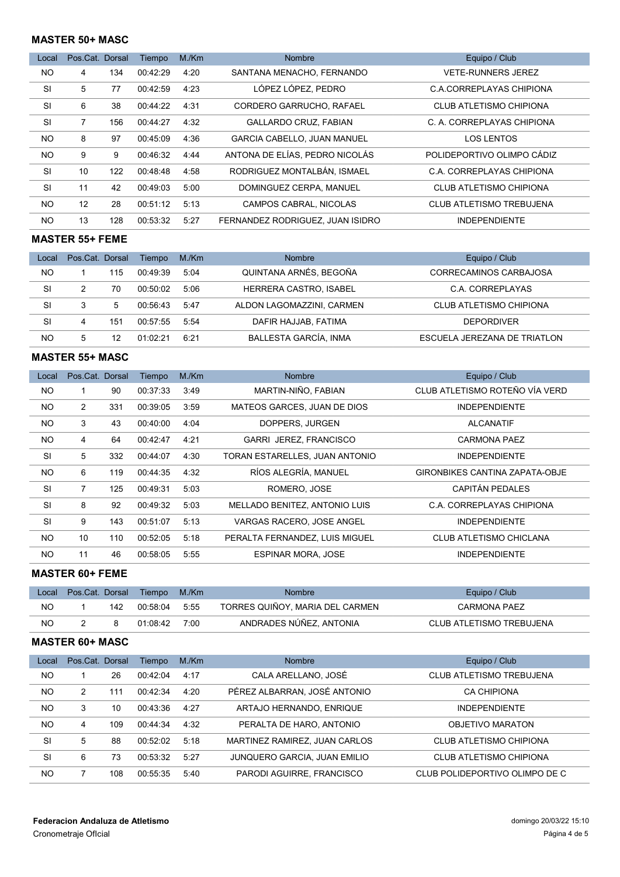### MASTER 50+ MASC

| Local     | Pos.Cat. Dorsal |     | Tiempo   | M/Km | <b>Nombre</b>                      | Equipo / Club                   |
|-----------|-----------------|-----|----------|------|------------------------------------|---------------------------------|
| <b>NO</b> | 4               | 134 | 00:42:29 | 4:20 | SANTANA MENACHO, FERNANDO          | <b>VETE-RUNNERS JEREZ</b>       |
| SI        | 5               | 77  | 00:42:59 | 4:23 | LÓPEZ LÓPEZ, PEDRO                 | C.A.CORREPLAYAS CHIPIONA        |
| <b>SI</b> | 6               | 38  | 00:44:22 | 4:31 | CORDERO GARRUCHO, RAFAEL           | <b>CLUB ATLETISMO CHIPIONA</b>  |
| <b>SI</b> | 7               | 156 | 00:44:27 | 4:32 | <b>GALLARDO CRUZ, FABIAN</b>       | C. A. CORREPLAYAS CHIPIONA      |
| <b>NO</b> | 8               | 97  | 00:45:09 | 4:36 | <b>GARCIA CABELLO, JUAN MANUEL</b> | <b>LOS LENTOS</b>               |
| <b>NO</b> | 9               | 9   | 00:46:32 | 4:44 | ANTONA DE ELÍAS, PEDRO NICOLÁS     | POLIDEPORTIVO OLIMPO CÁDIZ      |
| <b>SI</b> | 10              | 122 | 00:48:48 | 4:58 | RODRIGUEZ MONTALBÁN. ISMAEL        | C.A. CORREPLAYAS CHIPIONA       |
| <b>SI</b> | 11              | 42  | 00:49:03 | 5:00 | DOMINGUEZ CERPA, MANUEL            | <b>CLUB ATLETISMO CHIPIONA</b>  |
| <b>NO</b> | 12              | 28  | 00:51:12 | 5:13 | CAMPOS CABRAL, NICOLAS             | <b>CLUB ATLETISMO TREBUJENA</b> |
| <b>NO</b> | 13              | 128 | 00:53:32 | 5:27 | FERNANDEZ RODRIGUEZ. JUAN ISIDRO   | <b>INDEPENDIENTE</b>            |

## MASTER 55+ FEME

| Local | Pos.Cat. Dorsal |     | Tiempo   | M./Km | <b>Nombre</b>             | Equipo / Club                |
|-------|-----------------|-----|----------|-------|---------------------------|------------------------------|
| NO    |                 | 115 | 00:49:39 | 5:04  | QUINTANA ARNÉS, BEGOÑA    | CORRECAMINOS CARBAJOSA       |
| SI    |                 | 70  | 00:50:02 | 5:06  | HERRERA CASTRO, ISABEL    | C.A. CORREPLAYAS             |
| SI    |                 | 5   | 00:56:43 | 5:47  | ALDON LAGOMAZZINI, CARMEN | CLUB ATLETISMO CHIPIONA      |
| SI    | 4               | 151 | 00:57:55 | 5:54  | DAFIR HAJJAB, FATIMA      | <b>DEPORDIVER</b>            |
| NO    | 5               | 12  | 01:02:21 | 6.21  | BALLESTA GARCÍA, INMA     | ESCUELA JEREZANA DE TRIATLON |

#### MASTER 55+ MASC

| Local          | Pos.Cat. Dorsal |     | Tiempo   | M/Km | <b>Nombre</b>                  | Equipo / Club                         |
|----------------|-----------------|-----|----------|------|--------------------------------|---------------------------------------|
| NO.            |                 | 90  | 00:37:33 | 3:49 | MARTIN-NIÑO, FABIAN            | CLUB ATLETISMO ROTEÑO VÍA VERD        |
| <b>NO</b>      | 2               | 331 | 00:39:05 | 3:59 | MATEOS GARCES, JUAN DE DIOS    | <b>INDEPENDIENTE</b>                  |
| <b>NO</b>      | 3               | 43  | 00:40:00 | 4:04 | DOPPERS, JURGEN                | <b>ALCANATIF</b>                      |
| <b>NO</b>      | 4               | 64  | 00:42:47 | 4:21 | <b>GARRI JEREZ, FRANCISCO</b>  | <b>CARMONA PAEZ</b>                   |
| SI             | 5               | 332 | 00:44:07 | 4:30 | TORAN ESTARELLES, JUAN ANTONIO | <b>INDEPENDIENTE</b>                  |
| <b>NO</b>      | 6               | 119 | 00:44:35 | 4:32 | RÍOS ALEGRÍA, MANUEL           | <b>GIRONBIKES CANTINA ZAPATA-OBJE</b> |
| <b>SI</b>      | $\overline{7}$  | 125 | 00:49:31 | 5:03 | ROMERO, JOSE                   | <b>CAPITÁN PEDALES</b>                |
| <b>SI</b>      | 8               | 92  | 00:49:32 | 5:03 | MELLADO BENITEZ, ANTONIO LUIS  | C.A. CORREPLAYAS CHIPIONA             |
| SI             | 9               | 143 | 00:51:07 | 5:13 | VARGAS RACERO. JOSE ANGEL      | <b>INDEPENDIENTE</b>                  |
| N <sub>O</sub> | 10              | 110 | 00:52:05 | 5:18 | PERALTA FERNANDEZ, LUIS MIGUEL | CLUB ATLETISMO CHICLANA               |
| <b>NO</b>      | 11              | 46  | 00:58:05 | 5:55 | <b>ESPINAR MORA, JOSE</b>      | <b>INDEPENDIENTE</b>                  |

#### MASTER 60+ FEME

| Local |     | Pos.Cat. Dorsal Tiempo | M./Km | <b>Nombre</b>                   | Equipo / Club            |
|-------|-----|------------------------|-------|---------------------------------|--------------------------|
| NC    | 142 | 00:58:04               | 5:55  | TORRES QUIÑOY, MARIA DEL CARMEN | <b>CARMONA PAEZ</b>      |
| NC    |     | 01.08.42               | 70∩∩  | ANDRADES NÚÑEZ, ANTONIA         | CLUB ATLETISMO TREBUJENA |

## MASTER 60+ MASC

| Local     | Pos.Cat. Dorsal |     | Tiempo   | M/Km | <b>Nombre</b>                 | Equipo / Club                   |
|-----------|-----------------|-----|----------|------|-------------------------------|---------------------------------|
| NO        |                 | 26  | 00:42:04 | 4:17 | CALA ARELLANO. JOSÉ           | <b>CLUB ATLETISMO TREBUJENA</b> |
| <b>NO</b> | $\overline{2}$  | 111 | 00.42.34 | 4:20 | PÉREZ ALBARRAN, JOSÉ ANTONIO  | <b>CA CHIPIONA</b>              |
| <b>NO</b> | 3               | 10  | 00:43:36 | 4:27 | ARTAJO HERNANDO, ENRIQUE      | <b>INDEPENDIENTE</b>            |
| <b>NO</b> | 4               | 109 | 00:44:34 | 4:32 | PERALTA DE HARO, ANTONIO      | OBJETIVO MARATON                |
| SI        | 5               | 88  | 00.52.02 | 5:18 | MARTINEZ RAMIREZ, JUAN CARLOS | CLUB ATLETISMO CHIPIONA         |
| <b>SI</b> | 6               | 73  | 00:53:32 | 5:27 | JUNQUERO GARCIA, JUAN EMILIO  | CLUB ATLETISMO CHIPIONA         |
| NO        |                 | 108 | 00:55:35 | 5:40 | PARODI AGUIRRE, FRANCISCO     | CLUB POLIDEPORTIVO OLIMPO DE C  |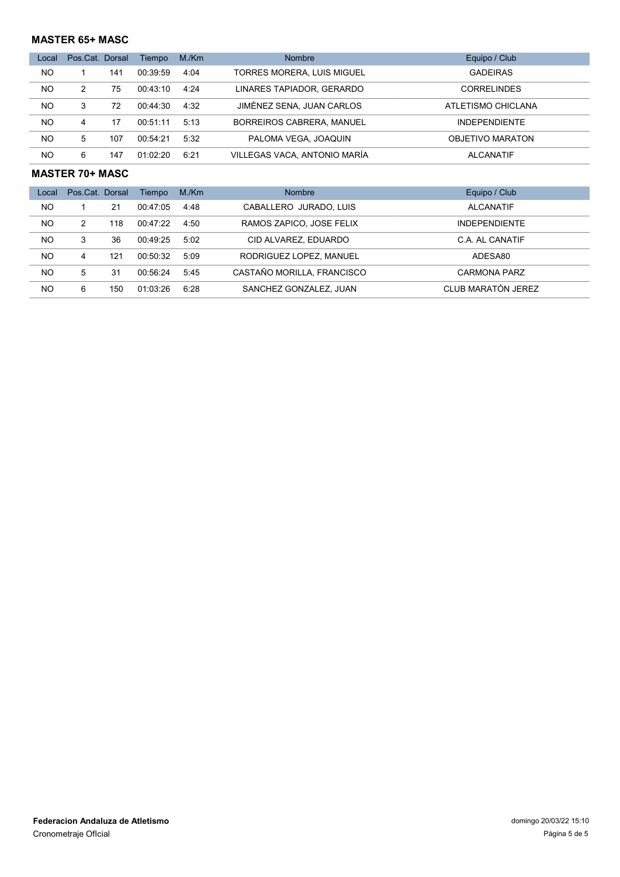## MASTER 65+ MASC

| Local | Pos.Cat. Dorsal |     | Tiempo   | M/Km | <b>Nombre</b>                    | Equipo / Club        |
|-------|-----------------|-----|----------|------|----------------------------------|----------------------|
| NO.   |                 | 141 | 00:39:59 | 4:04 | TORRES MORERA, LUIS MIGUEL       | <b>GADEIRAS</b>      |
| NO.   |                 | 75  | 00:43:10 | 4.24 | LINARES TAPIADOR, GERARDO        | <b>CORRELINDES</b>   |
| NO.   | 3               | 72  | 00:44:30 | 4:32 | JIMÉNEZ SENA, JUAN CARLOS        | ATLETISMO CHICLANA   |
| NO    | 4               | 17  | 00:51:11 | 5:13 | <b>BORREIROS CABRERA, MANUEL</b> | <b>INDEPENDIENTE</b> |
| NO.   | 5               | 107 | 00:54:21 | 5:32 | PALOMA VEGA, JOAQUIN             | OBJETIVO MARATON     |
| NO.   | 6               | 147 | 01.02.20 | 6.21 | VILLEGAS VACA, ANTONIO MARÍA     | <b>ALCANATIF</b>     |

#### MASTER 70+ MASC

| Local     | Pos.Cat. Dorsal |     | Tiempo   | M/Km | <b>Nombre</b>              | Equipo / Club        |
|-----------|-----------------|-----|----------|------|----------------------------|----------------------|
| NO.       |                 | 21  | 00:47:05 | 4:48 | CABALLERO JURADO, LUIS     | <b>ALCANATIF</b>     |
| <b>NO</b> | 2               | 118 | 00:47:22 | 4:50 | RAMOS ZAPICO, JOSE FELIX   | <b>INDEPENDIENTE</b> |
| <b>NO</b> | 3               | 36  | 00:49:25 | 5:02 | CID ALVAREZ, EDUARDO       | C.A. AL CANATIF      |
| <b>NO</b> | 4               | 121 | 00:50:32 | 5.09 | RODRIGUEZ LOPEZ, MANUEL    | ADESA80              |
| <b>NO</b> | 5               | 31  | 00:56:24 | 5.45 | CASTAÑO MORILLA, FRANCISCO | CARMONA PARZ         |
| <b>NO</b> | 6               | 150 | 01:03:26 | 6:28 | SANCHEZ GONZALEZ, JUAN     | CLUB MARATÓN JEREZ   |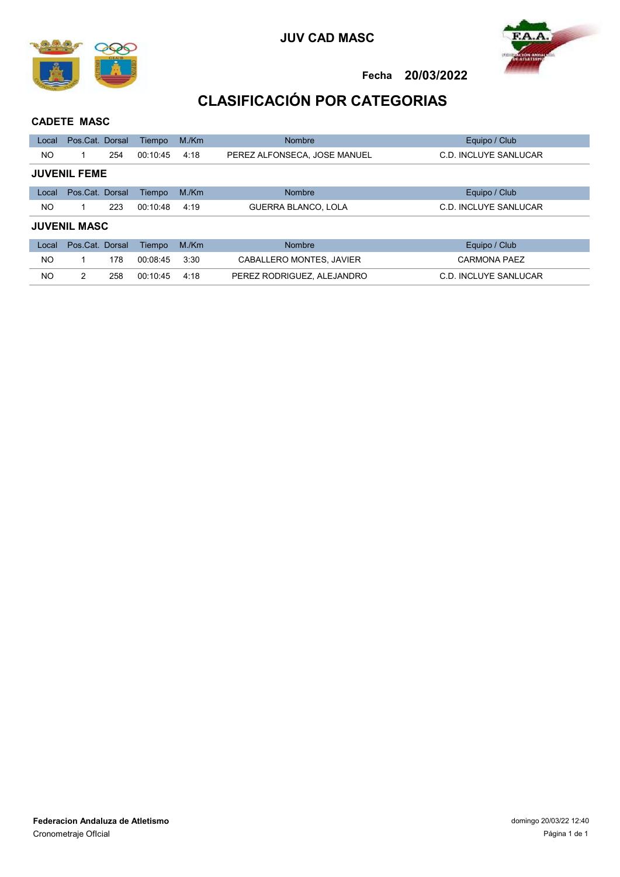





# CLASIFICACIÓN POR CATEGORIAS

## CADETE MASC

| Local | Pos.Cat. Dorsal     |     | Tiempo   | M/Km | <b>Nombre</b>                | Equipo / Club         |
|-------|---------------------|-----|----------|------|------------------------------|-----------------------|
| NO.   |                     | 254 | 00:10:45 | 4:18 | PEREZ ALFONSECA, JOSE MANUEL | C.D. INCLUYE SANLUCAR |
|       | <b>JUVENIL FEME</b> |     |          |      |                              |                       |
| Local | Pos.Cat. Dorsal     |     | Tiempo   | M/Km | <b>Nombre</b>                | Equipo / Club         |
| NO.   |                     | 223 | 00:10:48 | 4:19 | <b>GUERRA BLANCO, LOLA</b>   | C.D. INCLUYE SANLUCAR |
|       | <b>JUVENIL MASC</b> |     |          |      |                              |                       |
| Local | Pos.Cat. Dorsal     |     | Tiempo   | M/Km | <b>Nombre</b>                | Equipo / Club         |
| NO.   |                     | 178 | 00:08:45 | 3:30 | CABALLERO MONTES, JAVIER     | <b>CARMONA PAEZ</b>   |
| NO.   | $\mathcal{P}$       | 258 | 00:10:45 | 4:18 | PEREZ RODRIGUEZ, ALEJANDRO   | C.D. INCLUYE SANLUCAR |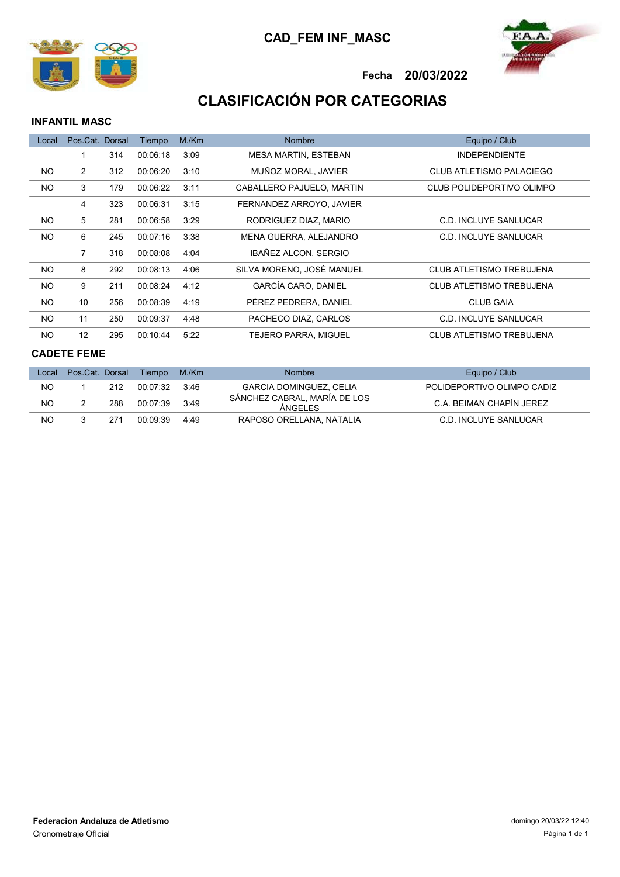



# CLASIFICACIÓN POR CATEGORIAS

### INFANTIL MASC

| Local     | Pos.Cat. Dorsal |     | Tiempo   | M/Km | <b>Nombre</b>               | Equipo / Club                   |
|-----------|-----------------|-----|----------|------|-----------------------------|---------------------------------|
|           |                 | 314 | 00:06:18 | 3:09 | <b>MESA MARTIN, ESTEBAN</b> | <b>INDEPENDIENTE</b>            |
| <b>NO</b> | $\overline{2}$  | 312 | 00:06:20 | 3:10 | MUÑOZ MORAL. JAVIER         | CLUB ATLETISMO PALACIEGO        |
| <b>NO</b> | 3               | 179 | 00:06:22 | 3:11 | CABALLERO PAJUELO, MARTIN   | CLUB POLIDEPORTIVO OLIMPO       |
|           | 4               | 323 | 00:06:31 | 3:15 | FERNANDEZ ARROYO, JAVIER    |                                 |
| NO.       | 5               | 281 | 00:06:58 | 3:29 | RODRIGUEZ DIAZ, MARIO       | C.D. INCLUYE SANLUCAR           |
| <b>NO</b> | 6               | 245 | 00:07:16 | 3:38 | MENA GUERRA, ALEJANDRO      | C.D. INCLUYE SANLUCAR           |
|           | 7               | 318 | 00:08:08 | 4:04 | IBAÑEZ ALCON, SERGIO        |                                 |
| NO.       | 8               | 292 | 00:08:13 | 4:06 | SILVA MORENO. JOSÉ MANUEL   | <b>CLUB ATLETISMO TREBUJENA</b> |
| NO.       | 9               | 211 | 00:08:24 | 4:12 | GARCÍA CARO, DANIEL         | <b>CLUB ATLETISMO TREBUJENA</b> |
| NO.       | 10              | 256 | 00:08:39 | 4:19 | PÉREZ PEDRERA, DANIEL       | <b>CLUB GAIA</b>                |
| NO.       | 11              | 250 | 00:09:37 | 4:48 | PACHECO DIAZ. CARLOS        | C.D. INCLUYE SANLUCAR           |
| <b>NO</b> | 12              | 295 | 00:10:44 | 5:22 | <b>TEJERO PARRA, MIGUEL</b> | <b>CLUB ATLETISMO TREBUJENA</b> |

## CADETE FEME

| Local | Pos.Cat. Dorsal |                 | Tiempo   | M./Km | <b>Nombre</b>                                  | Equipo / Club              |
|-------|-----------------|-----------------|----------|-------|------------------------------------------------|----------------------------|
| NO    |                 | 212             | 00.07.32 | 3:46  | <b>GARCIA DOMINGUEZ, CELIA</b>                 | POLIDEPORTIVO OLIMPO CADIZ |
| NO    |                 | 288             | 00.07.39 | 3:49  | SÁNCHEZ CABRAL, MARÍA DE LOS<br><b>ÁNGELES</b> | C.A. BEIMAN CHAPIN JEREZ   |
| NO    |                 | 27 <sup>1</sup> | 00.09.39 | 4.49  | RAPOSO ORELLANA, NATALIA                       | C.D. INCLUYE SANLUCAR      |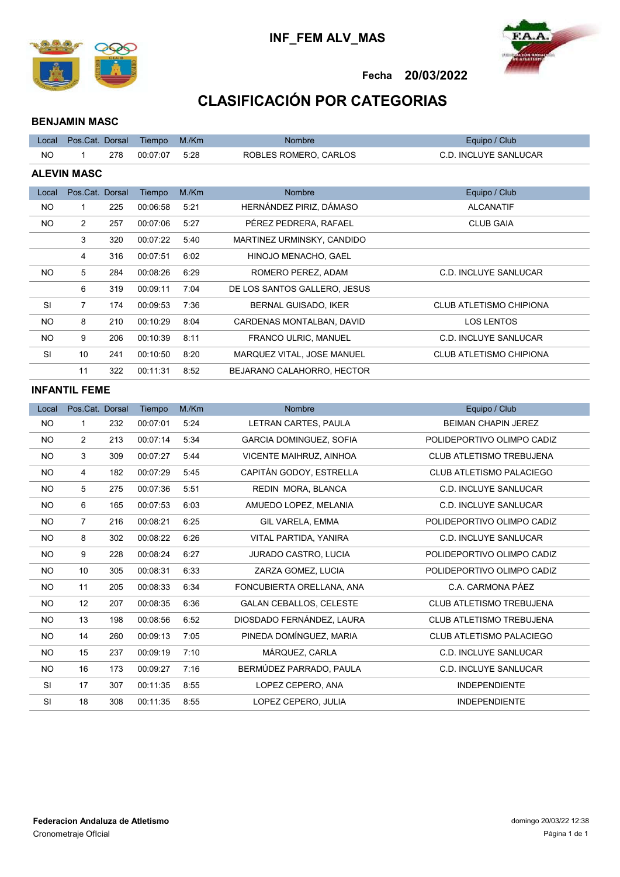



# CLASIFICACIÓN POR CATEGORIAS

### BENJAMIN MASC

| Local              | Pos.Cat. Dorsal |     | Tiempo   | M/Km | <b>Nombre</b>                | Equipo / Club                  |  |  |
|--------------------|-----------------|-----|----------|------|------------------------------|--------------------------------|--|--|
| NO.                | 1               | 278 | 00:07:07 | 5:28 | ROBLES ROMERO, CARLOS        | <b>C.D. INCLUYE SANLUCAR</b>   |  |  |
| <b>ALEVIN MASC</b> |                 |     |          |      |                              |                                |  |  |
| Local              | Pos.Cat. Dorsal |     | Tiempo   | M/Km | <b>Nombre</b>                | Equipo / Club                  |  |  |
| NO.                | 1               | 225 | 00:06:58 | 5:21 | HERNÁNDEZ PIRIZ, DÁMASO      | <b>ALCANATIF</b>               |  |  |
| NO.                | $\overline{2}$  | 257 | 00:07:06 | 5:27 | PÉREZ PEDRERA. RAFAEL        | <b>CLUB GAIA</b>               |  |  |
|                    | 3               | 320 | 00:07:22 | 5:40 | MARTINEZ URMINSKY, CANDIDO   |                                |  |  |
|                    | 4               | 316 | 00:07:51 | 6:02 | HINOJO MENACHO, GAEL         |                                |  |  |
| NO.                | 5               | 284 | 00:08:26 | 6:29 | ROMERO PEREZ, ADAM           | <b>C.D. INCLUYE SANLUCAR</b>   |  |  |
|                    | 6               | 319 | 00:09:11 | 7:04 | DE LOS SANTOS GALLERO, JESUS |                                |  |  |
| <b>SI</b>          | $\overline{7}$  | 174 | 00:09:53 | 7:36 | BERNAL GUISADO, IKER         | <b>CLUB ATLETISMO CHIPIONA</b> |  |  |
| NO.                | 8               | 210 | 00:10:29 | 8:04 | CARDENAS MONTALBAN, DAVID    | <b>LOS LENTOS</b>              |  |  |
| NO.                | 9               | 206 | 00:10:39 | 8:11 | <b>FRANCO ULRIC, MANUEL</b>  | C.D. INCLUYE SANLUCAR          |  |  |
| <b>SI</b>          | 10              | 241 | 00:10:50 | 8:20 | MARQUEZ VITAL, JOSE MANUEL   | <b>CLUB ATLETISMO CHIPIONA</b> |  |  |
|                    | 11              | 322 | 00:11:31 | 8:52 | BEJARANO CALAHORRO, HECTOR   |                                |  |  |
| INIM ANIWII.       |                 |     |          |      |                              |                                |  |  |

#### INFANTIL FEME

| Local     | Pos.Cat. Dorsal |     | Tiempo   | M/Km | <b>Nombre</b>                  | Equipo / Club                   |
|-----------|-----------------|-----|----------|------|--------------------------------|---------------------------------|
| <b>NO</b> | 1               | 232 | 00:07:01 | 5:24 | LETRAN CARTES, PAULA           | <b>BEIMAN CHAPIN JEREZ</b>      |
| <b>NO</b> | $\overline{2}$  | 213 | 00:07:14 | 5:34 | GARCIA DOMINGUEZ, SOFIA        | POLIDEPORTIVO OLIMPO CADIZ      |
| <b>NO</b> | 3               | 309 | 00:07:27 | 5:44 | VICENTE MAIHRUZ, AINHOA        | <b>CLUB ATLETISMO TREBUJENA</b> |
| <b>NO</b> | 4               | 182 | 00:07:29 | 5:45 | CAPITÁN GODOY, ESTRELLA        | <b>CLUB ATLETISMO PALACIEGO</b> |
| <b>NO</b> | 5               | 275 | 00:07:36 | 5:51 | REDIN MORA, BLANCA             | <b>C.D. INCLUYE SANLUCAR</b>    |
| <b>NO</b> | 6               | 165 | 00:07:53 | 6:03 | AMUEDO LOPEZ, MELANIA          | <b>C.D. INCLUYE SANLUCAR</b>    |
| <b>NO</b> | $\overline{7}$  | 216 | 00:08:21 | 6:25 | GIL VARELA, EMMA               | POLIDEPORTIVO OLIMPO CADIZ      |
| <b>NO</b> | 8               | 302 | 00:08:22 | 6:26 | VITAL PARTIDA, YANIRA          | <b>C.D. INCLUYE SANLUCAR</b>    |
| <b>NO</b> | 9               | 228 | 00:08:24 | 6:27 | <b>JURADO CASTRO, LUCIA</b>    | POLIDEPORTIVO OLIMPO CADIZ      |
| <b>NO</b> | 10              | 305 | 00:08:31 | 6:33 | ZARZA GOMEZ, LUCIA             | POLIDEPORTIVO OLIMPO CADIZ      |
| NO        | 11              | 205 | 00:08:33 | 6:34 | FONCUBIERTA ORELLANA, ANA      | C.A. CARMONA PÁEZ               |
| <b>NO</b> | 12              | 207 | 00:08:35 | 6:36 | <b>GALAN CEBALLOS, CELESTE</b> | <b>CLUB ATLETISMO TREBUJENA</b> |
| <b>NO</b> | 13              | 198 | 00:08:56 | 6:52 | DIOSDADO FERNÁNDEZ, LAURA      | <b>CLUB ATLETISMO TREBUJENA</b> |
| <b>NO</b> | 14              | 260 | 00:09:13 | 7:05 | PINEDA DOMÍNGUEZ, MARIA        | <b>CLUB ATLETISMO PALACIEGO</b> |
| <b>NO</b> | 15              | 237 | 00:09:19 | 7:10 | MÁRQUEZ, CARLA                 | <b>C.D. INCLUYE SANLUCAR</b>    |
| <b>NO</b> | 16              | 173 | 00:09:27 | 7:16 | BERMÚDEZ PARRADO, PAULA        | <b>C.D. INCLUYE SANLUCAR</b>    |
| <b>SI</b> | 17              | 307 | 00:11:35 | 8:55 | LOPEZ CEPERO, ANA              | <b>INDEPENDIENTE</b>            |
| SI        | 18              | 308 | 00:11:35 | 8:55 | LOPEZ CEPERO, JULIA            | <b>INDEPENDIENTE</b>            |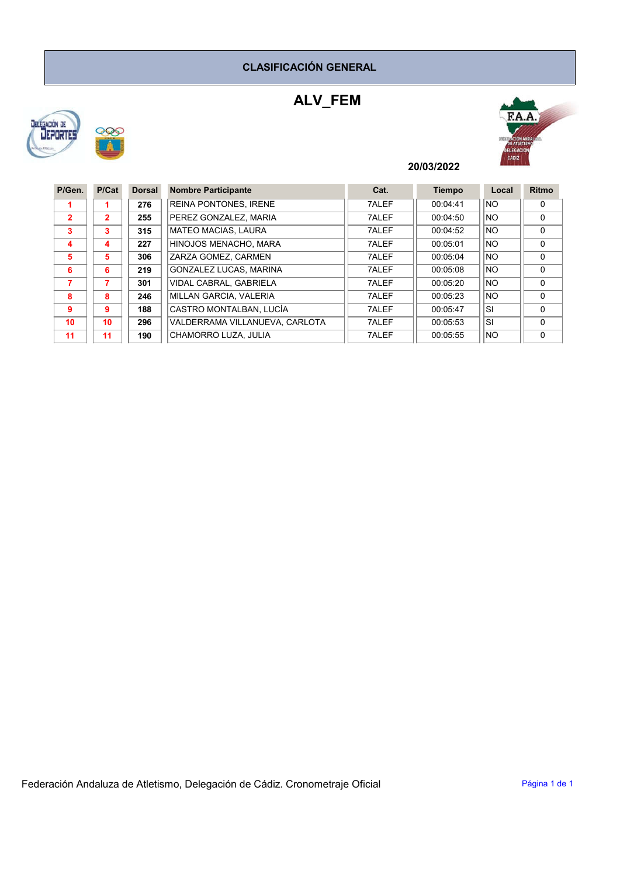## CLASIFICACIÓN GENERAL

# ALV\_FEM





## 20/03/2022

| P/Gen.         | P/Cat          | <b>Dorsal</b> | <b>Nombre Participante</b>     | Cat.  | <b>Tiempo</b> | Local     | Ritmo        |
|----------------|----------------|---------------|--------------------------------|-------|---------------|-----------|--------------|
|                |                | 276           | <b>REINA PONTONES, IRENE</b>   | 7ALEF | 00:04:41      | <b>NO</b> | $\mathbf{0}$ |
| $\overline{2}$ | $\overline{2}$ | 255           | PEREZ GONZALEZ, MARIA          | 7ALEF | 00:04:50      | <b>NO</b> | $\Omega$     |
| 3              | 3              | 315           | <b>MATEO MACIAS, LAURA</b>     | 7ALEF | 00:04:52      | <b>NO</b> | $\Omega$     |
| 4              | 4              | 227           | HINOJOS MENACHO, MARA          | 7ALEF | 00:05:01      | <b>NO</b> | $\Omega$     |
| 5              | 5              | 306           | ZARZA GOMEZ. CARMEN            | 7ALEF | 00:05:04      | <b>NO</b> | $\Omega$     |
| 6              | 6              | 219           | GONZALEZ LUCAS, MARINA         | 7ALEF | 00:05:08      | <b>NO</b> | $\Omega$     |
| 7              | 7              | 301           | VIDAL CABRAL, GABRIELA         | 7ALEF | 00:05:20      | <b>NO</b> | $\Omega$     |
| 8              | 8              | 246           | MILLAN GARCIA, VALERIA         | 7ALEF | 00:05:23      | <b>NO</b> | $\Omega$     |
| 9              | 9              | 188           | CASTRO MONTALBAN, LUCÍA        | 7ALEF | 00:05:47      | <b>SI</b> | $\Omega$     |
| 10             | 10             | 296           | VALDERRAMA VILLANUEVA, CARLOTA | 7ALEF | 00:05:53      | <b>SI</b> | $\Omega$     |
| 11             | 11             | 190           | CHAMORRO LUZA, JULIA           | 7ALEF | 00:05:55      | <b>NO</b> | $\Omega$     |